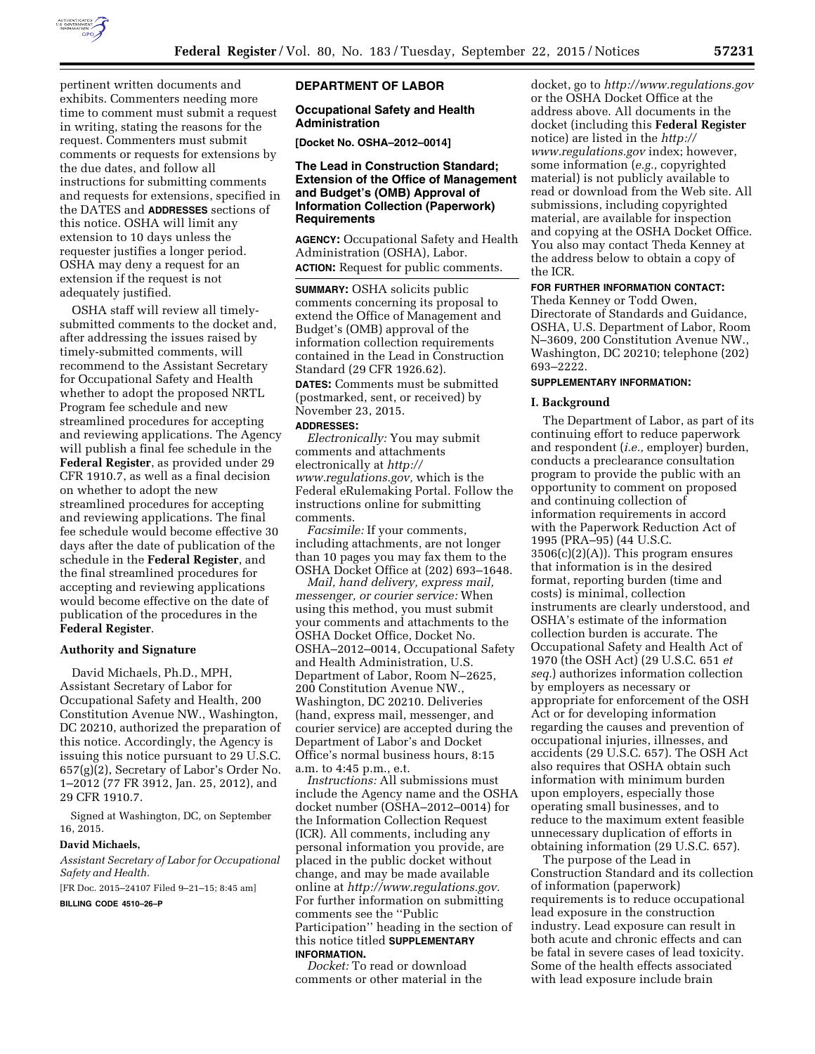

pertinent written documents and exhibits. Commenters needing more time to comment must submit a request in writing, stating the reasons for the request. Commenters must submit comments or requests for extensions by the due dates, and follow all instructions for submitting comments and requests for extensions, specified in the DATES and **ADDRESSES** sections of this notice. OSHA will limit any extension to 10 days unless the requester justifies a longer period. OSHA may deny a request for an extension if the request is not adequately justified.

OSHA staff will review all timelysubmitted comments to the docket and, after addressing the issues raised by timely-submitted comments, will recommend to the Assistant Secretary for Occupational Safety and Health whether to adopt the proposed NRTL Program fee schedule and new streamlined procedures for accepting and reviewing applications. The Agency will publish a final fee schedule in the **Federal Register**, as provided under 29 CFR 1910.7, as well as a final decision on whether to adopt the new streamlined procedures for accepting and reviewing applications. The final fee schedule would become effective 30 days after the date of publication of the schedule in the **Federal Register**, and the final streamlined procedures for accepting and reviewing applications would become effective on the date of publication of the procedures in the **Federal Register**.

### **Authority and Signature**

David Michaels, Ph.D., MPH, Assistant Secretary of Labor for Occupational Safety and Health, 200 Constitution Avenue NW., Washington, DC 20210, authorized the preparation of this notice. Accordingly, the Agency is issuing this notice pursuant to 29 U.S.C. 657(g)(2), Secretary of Labor's Order No. 1–2012 (77 FR 3912, Jan. 25, 2012), and 29 CFR 1910.7.

Signed at Washington, DC, on September 16, 2015.

### **David Michaels,**

*Assistant Secretary of Labor for Occupational Safety and Health.* 

[FR Doc. 2015–24107 Filed 9–21–15; 8:45 am]

**BILLING CODE 4510–26–P** 

### **DEPARTMENT OF LABOR**

# **Occupational Safety and Health Administration**

**[Docket No. OSHA–2012–0014]** 

# **The Lead in Construction Standard; Extension of the Office of Management and Budget's (OMB) Approval of Information Collection (Paperwork) Requirements**

**AGENCY:** Occupational Safety and Health Administration (OSHA), Labor. **ACTION:** Request for public comments.

**SUMMARY:** OSHA solicits public comments concerning its proposal to extend the Office of Management and Budget's (OMB) approval of the information collection requirements contained in the Lead in Construction Standard (29 CFR 1926.62).

**DATES:** Comments must be submitted (postmarked, sent, or received) by November 23, 2015.

#### **ADDRESSES:**

*Electronically:* You may submit comments and attachments electronically at *[http://](http://www.regulations.gov) [www.regulations.gov,](http://www.regulations.gov)* which is the Federal eRulemaking Portal. Follow the instructions online for submitting comments.

*Facsimile:* If your comments, including attachments, are not longer than 10 pages you may fax them to the OSHA Docket Office at (202) 693–1648.

*Mail, hand delivery, express mail, messenger, or courier service:* When using this method, you must submit your comments and attachments to the OSHA Docket Office, Docket No. OSHA–2012–0014, Occupational Safety and Health Administration, U.S. Department of Labor, Room N–2625, 200 Constitution Avenue NW., Washington, DC 20210. Deliveries (hand, express mail, messenger, and courier service) are accepted during the Department of Labor's and Docket Office's normal business hours, 8:15 a.m. to 4:45 p.m., e.t.

*Instructions:* All submissions must include the Agency name and the OSHA docket number (OSHA–2012–0014) for the Information Collection Request (ICR). All comments, including any personal information you provide, are placed in the public docket without change, and may be made available online at *[http://www.regulations.gov.](http://www.regulations.gov)*  For further information on submitting comments see the ''Public Participation'' heading in the section of this notice titled **SUPPLEMENTARY INFORMATION.** 

*Docket:* To read or download comments or other material in the

docket, go to *<http://www.regulations.gov>*  or the OSHA Docket Office at the address above. All documents in the docket (including this **Federal Register**  notice) are listed in the *[http://](http://www.regulations.gov) [www.regulations.gov](http://www.regulations.gov)* index; however, some information (*e.g.,* copyrighted material) is not publicly available to read or download from the Web site. All submissions, including copyrighted material, are available for inspection and copying at the OSHA Docket Office. You also may contact Theda Kenney at the address below to obtain a copy of the ICR.

### **FOR FURTHER INFORMATION CONTACT:**

Theda Kenney or Todd Owen, Directorate of Standards and Guidance, OSHA, U.S. Department of Labor, Room N–3609, 200 Constitution Avenue NW., Washington, DC 20210; telephone (202) 693–2222.

# **SUPPLEMENTARY INFORMATION:**

#### **I. Background**

The Department of Labor, as part of its continuing effort to reduce paperwork and respondent (*i.e.,* employer) burden, conducts a preclearance consultation program to provide the public with an opportunity to comment on proposed and continuing collection of information requirements in accord with the Paperwork Reduction Act of 1995 (PRA–95) (44 U.S.C.  $3506(c)(2)(A)$ . This program ensures that information is in the desired format, reporting burden (time and costs) is minimal, collection instruments are clearly understood, and OSHA's estimate of the information collection burden is accurate. The Occupational Safety and Health Act of 1970 (the OSH Act) (29 U.S.C. 651 *et seq.*) authorizes information collection by employers as necessary or appropriate for enforcement of the OSH Act or for developing information regarding the causes and prevention of occupational injuries, illnesses, and accidents (29 U.S.C. 657). The OSH Act also requires that OSHA obtain such information with minimum burden upon employers, especially those operating small businesses, and to reduce to the maximum extent feasible unnecessary duplication of efforts in obtaining information (29 U.S.C. 657).

The purpose of the Lead in Construction Standard and its collection of information (paperwork) requirements is to reduce occupational lead exposure in the construction industry. Lead exposure can result in both acute and chronic effects and can be fatal in severe cases of lead toxicity. Some of the health effects associated with lead exposure include brain